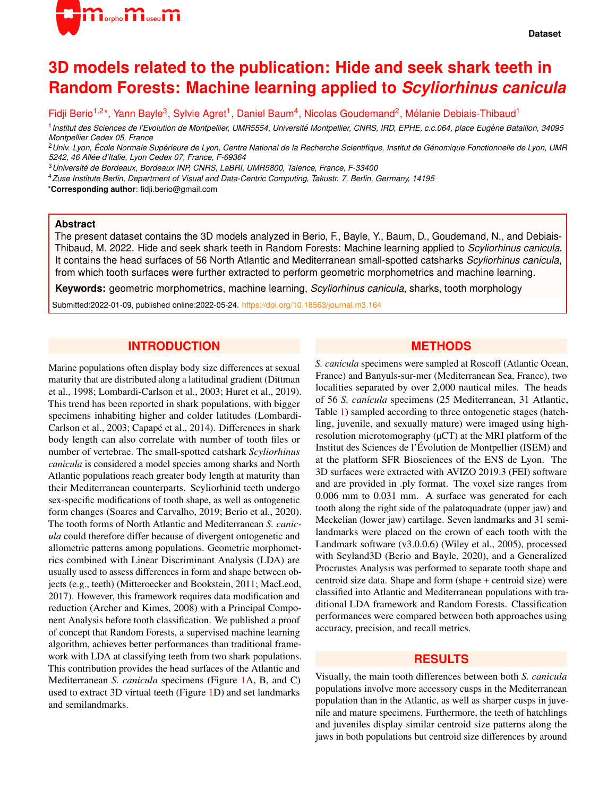

# **3D models related to the publication: Hide and seek shark teeth in Random Forests: Machine learning applied to** *Scyliorhinus canicula*

Fidji Berio<sup>1,2\*</sup>, Yann Bayle<sup>3</sup>, Sylvie Agret<sup>1</sup>, Daniel Baum<sup>4</sup>, Nicolas Goudemand<sup>2</sup>, Mélanie Debiais-Thibaud<sup>1</sup>

<sup>1</sup> Institut des Sciences de l'Evolution de Montpellier, UMR5554, Université Montpellier, CNRS, IRD, EPHE, c.c.064, place Eugène Bataillon, 34095 *Montpellier Cedex 05, France*

<sup>2</sup>*Univ. Lyon, Ecole Normale Sup ´ erieure de Lyon, Centre National de la Recherche Scientifique, Institut de G ´ enomique Fonctionnelle de Lyon, UMR ´ 5242, 46 Allee d'Italie, Lyon Cedex 07, France, F-69364 ´*

<sup>3</sup>*Universite de Bordeaux, Bordeaux INP, CNRS, LaBRI, UMR5800, Talence, France, F-33400 ´*

<sup>4</sup>*Zuse Institute Berlin, Department of Visual and Data-Centric Computing, Takustr. 7, Berlin, Germany, 14195*

\***Corresponding author**: fidji.berio@gmail.com

#### **Abstract**

The present dataset contains the 3D models analyzed in Berio, F., Bayle, Y., Baum, D., Goudemand, N., and Debiais-Thibaud, M. 2022. Hide and seek shark teeth in Random Forests: Machine learning applied to *Scyliorhinus canicula*. It contains the head surfaces of 56 North Atlantic and Mediterranean small-spotted catsharks *Scyliorhinus canicula*, from which tooth surfaces were further extracted to perform geometric morphometrics and machine learning.

**Keywords:** geometric morphometrics, machine learning, *Scyliorhinus canicula*, sharks, tooth morphology

Submitted:2022-01-09, published online:2022-05-24. <https://doi.org/10.18563/journal.m3.164>

## **INTRODUCTION**

Marine populations often display body size differences at sexual maturity that are distributed along a latitudinal gradient (Dittman et al., 1998; Lombardi-Carlson et al., 2003; Huret et al., 2019). This trend has been reported in shark populations, with bigger specimens inhabiting higher and colder latitudes (Lombardi-Carlson et al., 2003; Capapé et al., 2014). Differences in shark body length can also correlate with number of tooth files or number of vertebrae. The small-spotted catshark *Scyliorhinus canicula* is considered a model species among sharks and North Atlantic populations reach greater body length at maturity than their Mediterranean counterparts. Scyliorhinid teeth undergo sex-specific modifications of tooth shape, as well as ontogenetic form changes (Soares and Carvalho, 2019; Berio et al., 2020). The tooth forms of North Atlantic and Mediterranean *S. canicula* could therefore differ because of divergent ontogenetic and allometric patterns among populations. Geometric morphometrics combined with Linear Discriminant Analysis (LDA) are usually used to assess differences in form and shape between objects (e.g., teeth) (Mitteroecker and Bookstein, 2011; MacLeod, 2017). However, this framework requires data modification and reduction (Archer and Kimes, 2008) with a Principal Component Analysis before tooth classification. We published a proof of concept that Random Forests, a supervised machine learning algorithm, achieves better performances than traditional framework with LDA at classifying teeth from two shark populations. This contribution provides the head surfaces of the Atlantic and Mediterranean *S. canicula* specimens (Figure [1A](#page-1-0), B, and C) used to extract 3D virtual teeth (Figure [1D](#page-1-0)) and set landmarks and semilandmarks.

#### **METHODS**

*S. canicula* specimens were sampled at Roscoff (Atlantic Ocean, France) and Banyuls-sur-mer (Mediterranean Sea, France), two localities separated by over 2,000 nautical miles. The heads of 56 *S. canicula* specimens (25 Mediterranean, 31 Atlantic, Table [1\)](#page-3-0) sampled according to three ontogenetic stages (hatchling, juvenile, and sexually mature) were imaged using highresolution microtomography ( $\mu$ CT) at the MRI platform of the Institut des Sciences de l'Evolution de Montpellier (ISEM) and ´ at the platform SFR Biosciences of the ENS de Lyon. The 3D surfaces were extracted with AVIZO 2019.3 (FEI) software and are provided in .ply format. The voxel size ranges from 0.006 mm to 0.031 mm. A surface was generated for each tooth along the right side of the palatoquadrate (upper jaw) and Meckelian (lower jaw) cartilage. Seven landmarks and 31 semilandmarks were placed on the crown of each tooth with the Landmark software (v3.0.0.6) (Wiley et al., 2005), processed with Scyland3D (Berio and Bayle, 2020), and a Generalized Procrustes Analysis was performed to separate tooth shape and centroid size data. Shape and form (shape + centroid size) were classified into Atlantic and Mediterranean populations with traditional LDA framework and Random Forests. Classification performances were compared between both approaches using accuracy, precision, and recall metrics.

### **RESULTS**

Visually, the main tooth differences between both *S. canicula* populations involve more accessory cusps in the Mediterranean population than in the Atlantic, as well as sharper cusps in juvenile and mature specimens. Furthermore, the teeth of hatchlings and juveniles display similar centroid size patterns along the jaws in both populations but centroid size differences by around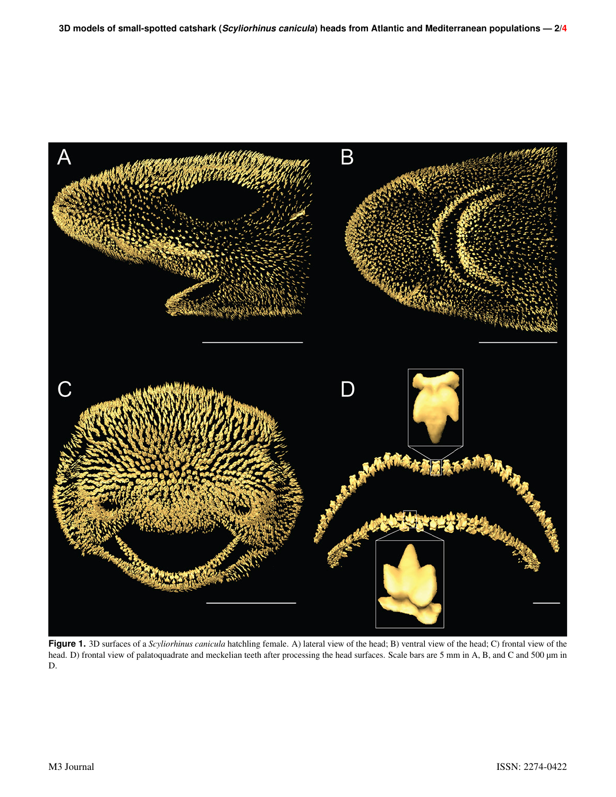<span id="page-1-0"></span>

**Figure 1.** 3D surfaces of a *Scyliorhinus canicula* hatchling female. A) lateral view of the head; B) ventral view of the head; C) frontal view of the head. D) frontal view of palatoquadrate and meckelian teeth after processing the head surfaces. Scale bars are 5 mm in A, B, and C and 500 µm in D.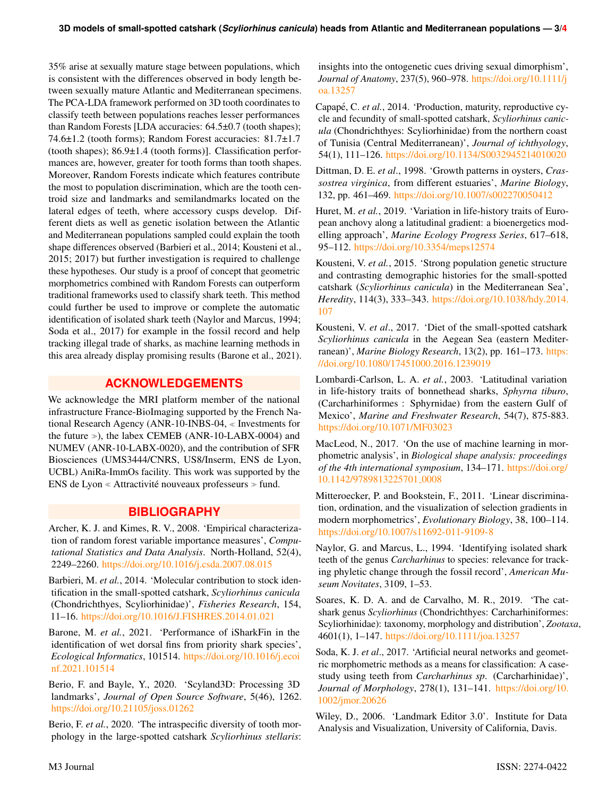35% arise at sexually mature stage between populations, which is consistent with the differences observed in body length between sexually mature Atlantic and Mediterranean specimens. The PCA-LDA framework performed on 3D tooth coordinates to classify teeth between populations reaches lesser performances than Random Forests [LDA accuracies: 64.5±0.7 (tooth shapes); 74.6±1.2 (tooth forms); Random Forest accuracies: 81.7±1.7 (tooth shapes);  $86.9\pm1.4$  (tooth forms)]. Classification performances are, however, greater for tooth forms than tooth shapes. Moreover, Random Forests indicate which features contribute the most to population discrimination, which are the tooth centroid size and landmarks and semilandmarks located on the lateral edges of teeth, where accessory cusps develop. Different diets as well as genetic isolation between the Atlantic and Mediterranean populations sampled could explain the tooth shape differences observed (Barbieri et al., 2014; Kousteni et al., 2015; 2017) but further investigation is required to challenge these hypotheses. Our study is a proof of concept that geometric morphometrics combined with Random Forests can outperform traditional frameworks used to classify shark teeth. This method could further be used to improve or complete the automatic identification of isolated shark teeth (Naylor and Marcus, 1994; Soda et al., 2017) for example in the fossil record and help tracking illegal trade of sharks, as machine learning methods in this area already display promising results (Barone et al., 2021).

# **ACKNOWLEDGEMENTS**

We acknowledge the MRI platform member of the national infrastructure France-BioImaging supported by the French National Research Agency (ANR-10-INBS-04, Investments for the future  $\gg$ ), the labex CEMEB (ANR-10-LABX-0004) and NUMEV (ANR-10-LABX-0020), and the contribution of SFR Biosciences (UMS3444/CNRS, US8/Inserm, ENS de Lyon, UCBL) AniRa-ImmOs facility. This work was supported by the ENS de Lyon  $\ll$  Attractivité nouveaux professeurs  $\gg$  fund.

# **BIBLIOGRAPHY**

Archer, K. J. and Kimes, R. V., 2008. 'Empirical characterization of random forest variable importance measures', *Computational Statistics and Data Analysis*. North-Holland, 52(4), 2249–2260. <https://doi.org/10.1016/j.csda.2007.08.015>

Barbieri, M. *et al.*, 2014. 'Molecular contribution to stock identification in the small-spotted catshark, *Scyliorhinus canicula* (Chondrichthyes, Scyliorhinidae)', *Fisheries Research*, 154, 11–16. <https://doi.org/10.1016/J.FISHRES.2014.01.021>

Barone, M. *et al.*, 2021. 'Performance of iSharkFin in the identification of wet dorsal fins from priority shark species', *Ecological Informatics*, 101514. [https://doi.org/10.1016/j.ecoi](https://doi.org/10.1016/j.ecoinf.2021.101514) [nf.2021.101514](https://doi.org/10.1016/j.ecoinf.2021.101514)

Berio, F. and Bayle, Y., 2020. 'Scyland3D: Processing 3D landmarks', *Journal of Open Source Software*, 5(46), 1262. <https://doi.org/10.21105/joss.01262>

Berio, F. *et al.*, 2020. 'The intraspecific diversity of tooth morphology in the large-spotted catshark *Scyliorhinus stellaris*: insights into the ontogenetic cues driving sexual dimorphism', *Journal of Anatomy*, 237(5), 960–978. [https://doi.org/10.1111/j](https://doi.org/10.1111/joa.13257) [oa.13257](https://doi.org/10.1111/joa.13257)

Capapé, C. et al., 2014. 'Production, maturity, reproductive cycle and fecundity of small-spotted catshark, *Scyliorhinus canicula* (Chondrichthyes: Scyliorhinidae) from the northern coast of Tunisia (Central Mediterranean)', *Journal of ichthyology*, 54(1), 111–126. <https://doi.org/10.1134/S0032945214010020>

Dittman, D. E. *et al*., 1998. 'Growth patterns in oysters, *Crassostrea virginica*, from different estuaries', *Marine Biology*, 132, pp. 461–469. <https://doi.org/10.1007/s002270050412>

Huret, M. *et al.*, 2019. 'Variation in life-history traits of European anchovy along a latitudinal gradient: a bioenergetics modelling approach', *Marine Ecology Progress Series*, 617–618, 95–112. <https://doi.org/10.3354/meps12574>

Kousteni, V. *et al.*, 2015. 'Strong population genetic structure and contrasting demographic histories for the small-spotted catshark (*Scyliorhinus canicula*) in the Mediterranean Sea', *Heredity*, 114(3), 333–343. [https://doi.org/10.1038/hdy.2014.](https://doi.org/10.1038/hdy.2014.107) [107](https://doi.org/10.1038/hdy.2014.107)

Kousteni, V. *et al*., 2017. 'Diet of the small-spotted catshark *Scyliorhinus canicula* in the Aegean Sea (eastern Mediterranean)', *Marine Biology Research*, 13(2), pp. 161–173. [https:](https://doi.org/10.1080/17451000.2016.1239019) [//doi.org/10.1080/17451000.2016.1239019](https://doi.org/10.1080/17451000.2016.1239019)

Lombardi-Carlson, L. A. *et al.*, 2003. 'Latitudinal variation in life-history traits of bonnethead sharks, *Sphyrna tiburo*, (Carcharhiniformes : Sphyrnidae) from the eastern Gulf of Mexico', *Marine and Freshwater Research*, 54(7), 875-883. <https://doi.org/10.1071/MF03023>

MacLeod, N., 2017. 'On the use of machine learning in morphometric analysis', in *Biological shape analysis: proceedings of the 4th international symposium*, 134–171. [https://doi.org/](https://doi.org/10.1142/9789813225701_0008) [10.1142/9789813225701](https://doi.org/10.1142/9789813225701_0008)\_0008

Mitteroecker, P. and Bookstein, F., 2011. 'Linear discrimination, ordination, and the visualization of selection gradients in modern morphometrics', *Evolutionary Biology*, 38, 100–114. <https://doi.org/10.1007/s11692-011-9109-8>

Naylor, G. and Marcus, L., 1994. 'Identifying isolated shark teeth of the genus *Carcharhinus* to species: relevance for tracking phyletic change through the fossil record', *American Museum Novitates*, 3109, 1–53.

Soares, K. D. A. and de Carvalho, M. R., 2019. 'The catshark genus *Scyliorhinus* (Chondrichthyes: Carcharhiniformes: Scyliorhinidae): taxonomy, morphology and distribution', *Zootaxa*, 4601(1), 1–147. <https://doi.org/10.1111/joa.13257>

Soda, K. J. *et al*., 2017. 'Artificial neural networks and geometric morphometric methods as a means for classification: A casestudy using teeth from *Carcharhinus sp*. (Carcharhinidae)', *Journal of Morphology*, 278(1), 131–141. [https://doi.org/10.](https://doi.org/10.1002/jmor.20626) [1002/jmor.20626](https://doi.org/10.1002/jmor.20626)

Wiley, D., 2006. 'Landmark Editor 3.0'. Institute for Data Analysis and Visualization, University of California, Davis.